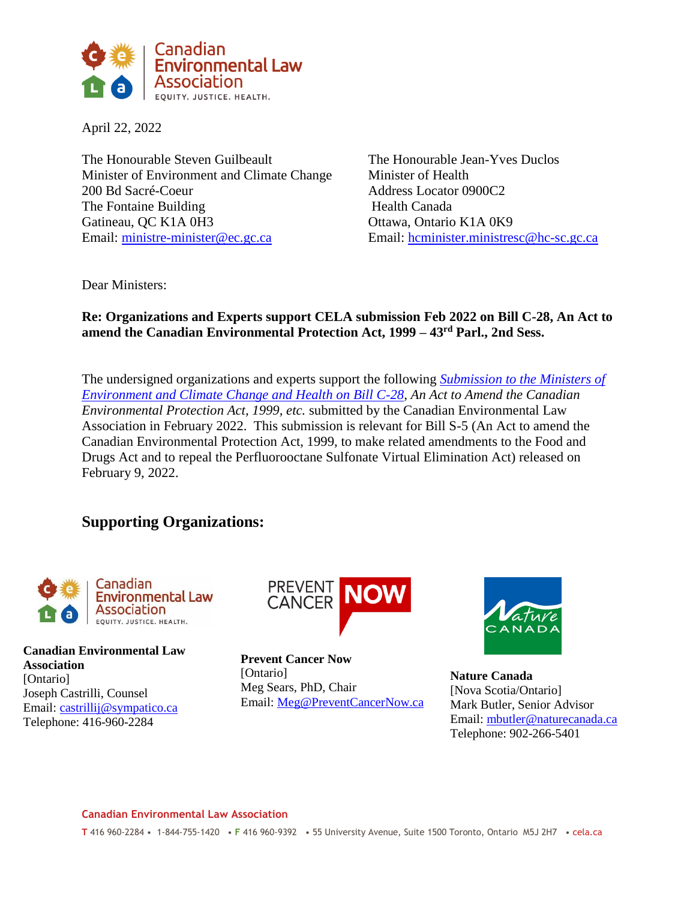

April 22, 2022

The Honourable Steven Guilbeault The Honourable Jean-Yves Duclos Minister of Environment and Climate Change Minister of Health 200 Bd Sacré-Coeur Address Locator 0900C2 The Fontaine Building Health Canada Gatineau, QC K1A 0H3 Ottawa, Ontario K1A 0K9 Email: [ministre-minister@ec.gc.ca](mailto:ministre-minister@ec.gc.ca) Email: [hcminister.ministresc@hc-sc.gc.ca](mailto:hcminister.ministresc@hc-sc.gc.ca)

Dear Ministers:

## **Re: Organizations and Experts support CELA submission Feb 2022 on Bill C-28, An Act to amend the Canadian Environmental Protection Act, 1999 – 43rd Parl., 2nd Sess.**

The undersigned organizations and experts support the following *[Submission to the Ministers of](https://cela.ca/wp-content/uploads/2022/02/Submission_CEPA.pdf)  [Environment and Climate Change and Health on Bill C-28,](https://cela.ca/wp-content/uploads/2022/02/Submission_CEPA.pdf) An Act to Amend the Canadian Environmental Protection Act, 1999, etc.* submitted by the Canadian Environmental Law Association in February 2022. This submission is relevant for Bill S-5 (An Act to amend the Canadian Environmental Protection Act, 1999, to make related amendments to the Food and Drugs Act and to repeal the Perfluorooctane Sulfonate Virtual Elimination Act) released on February 9, 2022.

## **Supporting Organizations:**



**Canadian Environmental Law Association** [Ontario] Joseph Castrilli, Counsel Email: [castrillij@sympatico.ca](mailto:castrillij@sympatico.ca) Telephone: 416-960-2284



**Prevent Cancer Now**  [Ontario] Meg Sears, PhD, Chair Email: [Meg@PreventCancerNow.ca](mailto:Meg@PreventCancerNow.ca)



**Nature Canada** [Nova Scotia/Ontario] Mark Butler, Senior Advisor Email: [mbutler@naturecanada.ca](mailto:mbutler@naturecanada.ca) Telephone: 902-266-5401

## **Canadian Environmental Law Association**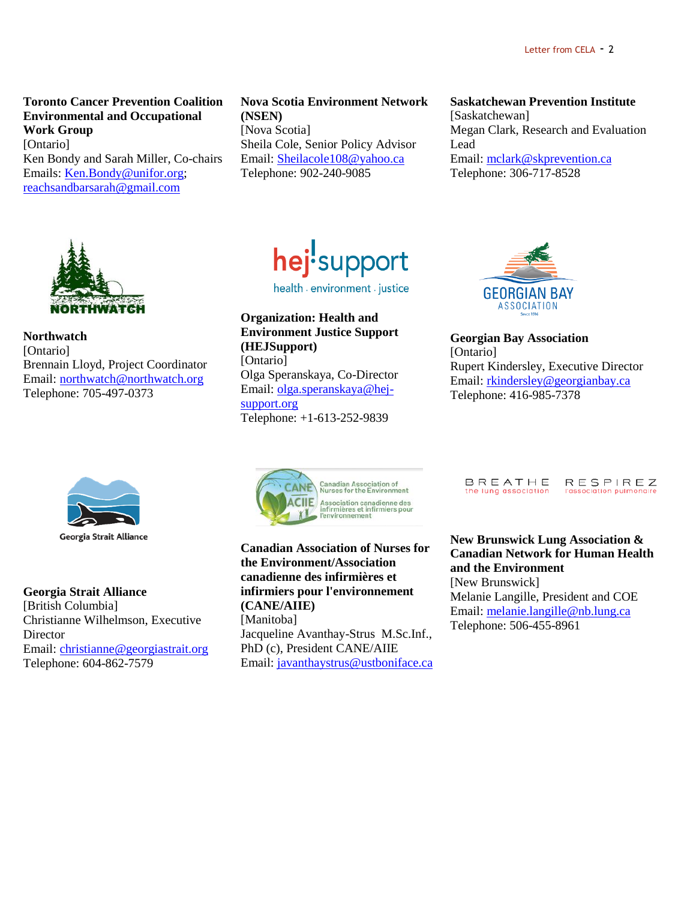**Toronto Cancer Prevention Coalition Environmental and Occupational Work Group** [Ontario] Ken Bondy and Sarah Miller, Co-chairs Emails: [Ken.Bondy@unifor.org;](mailto:Ken.Bondy@unifor.org)

[reachsandbarsarah@gmail.com](mailto:reachsandbarsarah@gmail.com)

**Nova Scotia Environment Network (NSEN)** [Nova Scotia] Sheila Cole, Senior Policy Advisor Email: [Sheilacole108@yahoo.ca](mailto:Sheilacole108@yahoo.ca) Telephone: 902-240-9085

**Saskatchewan Prevention Institute**

[Saskatchewan] Megan Clark, Research and Evaluation Lead Email: [mclark@skprevention.ca](mailto:mclark@skprevention.ca) Telephone: 306-717-8528



**Northwatch** [Ontario] Brennain Lloyd, Project Coordinator Email: [northwatch@northwatch.org](mailto:northwatch@northwatch.org) Telephone: 705-497-0373



**Georgia Strait Alliance** [British Columbia] Christianne Wilhelmson, Executive Director Email: [christianne@georgiastrait.org](mailto:christianne@georgiastrait.org) Telephone: 604-862-7579



health a environment a justice

**Organization: Health and Environment Justice Support (HEJSupport)** [Ontario] Olga Speranskaya, Co-Director Email: [olga.speranskaya@hej](mailto:olga.speranskaya@hej-support.org)[support.org](mailto:olga.speranskaya@hej-support.org) Telephone: +1-613-252-9839



**Georgian Bay Association** [Ontario] Rupert Kindersley, Executive Director Email: [rkindersley@georgianbay.ca](mailto:rkindersley@georgianbay.ca) Telephone: 416-985-7378



**Canadian Association of Nurses for the Environment/Association canadienne des infirmières et infirmiers pour l'environnement (CANE/AIIE)** [Manitoba] Jacqueline Avanthay-Strus M.Sc.Inf., PhD (c), President CANE/AIIE

Email: [javanthaystrus@ustboniface.ca](mailto:javanthaystrus@ustboniface.ca)

BREATHE RESPIREZ the lung association l'association pulmono

**New Brunswick Lung Association & Canadian Network for Human Health and the Environment** [New Brunswick] Melanie Langille, President and COE Email: [melanie.langille@nb.lung.ca](mailto:melanie.langille@nb.lung.ca) Telephone: 506-455-8961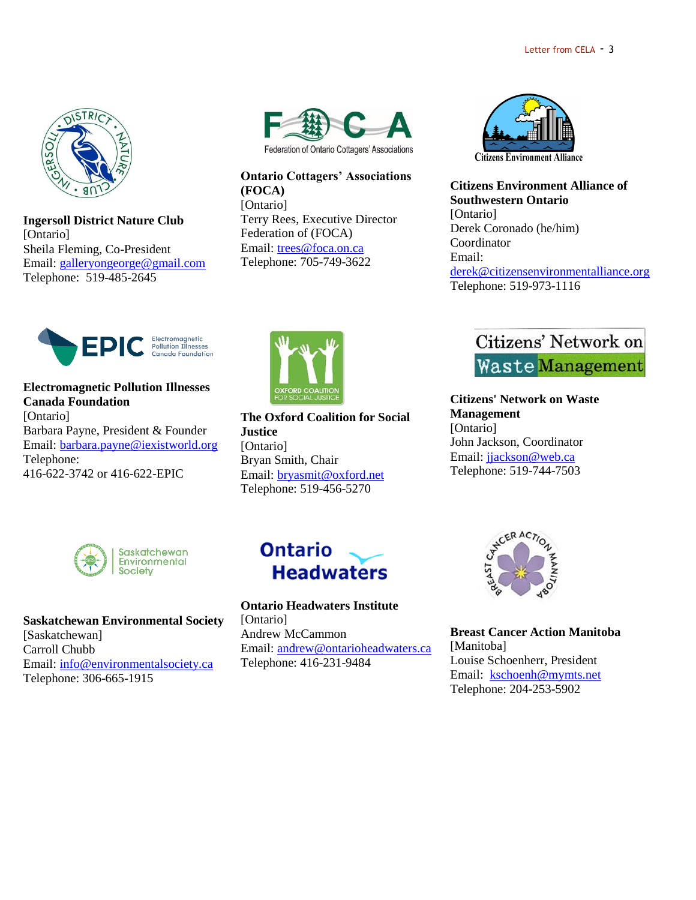

**Ingersoll District Nature Club** [Ontario] Sheila Fleming, Co-President Email: [galleryongeorge@gmail.com](mailto:galleryongeorge@gmail.com) Telephone: 519-485-2645



**Ontario Cottagers' Associations (FOCA)** [Ontario] Terry Rees, Executive Director Federation of (FOCA) Email: [trees@foca.on.ca](mailto:trees@foca.on.ca) Telephone: 705-749-3622



**Citizens Environment Alliance of Southwestern Ontario** [Ontario] Derek Coronado (he/him) Coordinator Email: [derek@citizensenvironmentalliance.org](mailto:derek@citizensenvironmentalliance.org) Telephone: 519-973-1116



**Electromagnetic Pollution Illnesses Canada Foundation** [Ontario] Barbara Payne, President & Founder Email: [barbara.payne@iexistworld.org](mailto:barbara.payne@iexistworld.org) Telephone: 416-622-3742 or 416-622-EPIC



**The Oxford Coalition for Social Justice** [Ontario] Bryan Smith, Chair Email: [bryasmit@oxford.net](mailto:bryasmit@oxford.net) Telephone: 519-456-5270



**Citizens' Network on Waste Management**  [Ontario] John Jackson, Coordinator Email: [jjackson@web.ca](mailto:jjackson@web.ca) Telephone: 519-744-7503



**Saskatchewan Environmental Society** [Saskatchewan] Carroll Chubb Email: [info@environmentalsociety.ca](mailto:info@environmentalsociety.ca) Telephone: 306-665-1915



**Ontario Headwaters Institute** [Ontario] Andrew McCammon Email: [andrew@ontarioheadwaters.ca](mailto:andrew@ontarioheadwaters.ca) Telephone: 416-231-9484



**Breast Cancer Action Manitoba** [Manitoba] Louise Schoenherr, President Email: [kschoenh@mymts.net](mailto:kschoenh@mymts.net) Telephone: 204-253-5902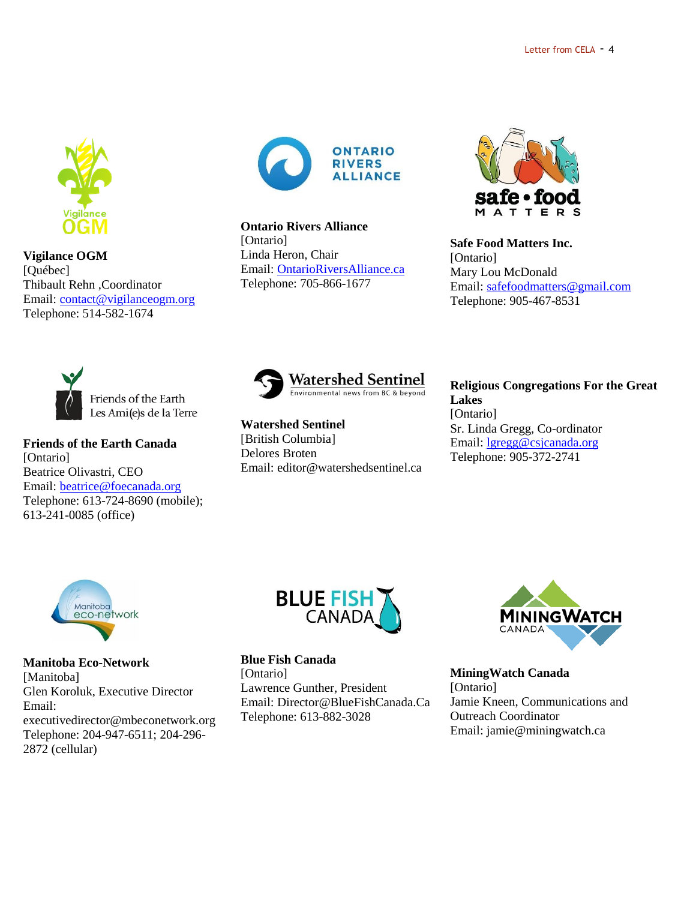

**Vigilance OGM** [Québec] Thibault Rehn ,Coordinator Email: [contact@vigilanceogm.org](mailto:contact@vigilanceogm.org) Telephone: 514-582-1674



**Ontario Rivers Alliance** [Ontario] Linda Heron, Chair Email: [OntarioRiversAlliance.ca](http://ontarioriversalliance.ca/) Telephone: 705-866-1677



**Safe Food Matters Inc.** [Ontario] Mary Lou McDonald Email: [safefoodmatters@gmail.com](mailto:safefoodmatters@gmail.com) Telephone: 905-467-8531



**Friends of the Earth Canada** [Ontario] Beatrice Olivastri, CEO Email: [beatrice@foecanada.org](mailto:beatrice@foecanada.org) Telephone: 613-724-8690 (mobile); 613-241-0085 (office)



**Watershed Sentinel** [British Columbia] Delores Broten Email: editor@watershedsentinel.ca **Religious Congregations For the Great Lakes** [Ontario] Sr. Linda Gregg, Co-ordinator Email: [lgregg@csjcanada.org](mailto:lgregg@csjcanada.org) Telephone: 905-372-2741



**Manitoba Eco-Network** [Manitoba] Glen Koroluk, Executive Director Email: executivedirector@mbeconetwork.org Telephone: 204-947-6511; 204-296- 2872 (cellular)



**Blue Fish Canada** [Ontario] Lawrence Gunther, President Email: Director@BlueFishCanada.Ca Telephone: 613-882-3028



**MiningWatch Canada**  [Ontario] Jamie Kneen, Communications and Outreach Coordinator Email: jamie@miningwatch.ca